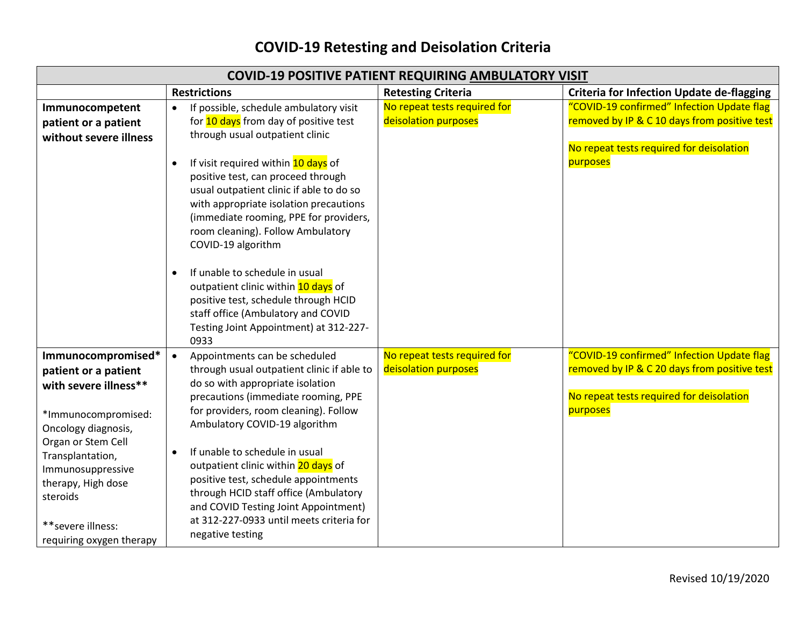## **COVID-19 Retesting and Deisolation Criteria**

| <b>COVID-19 POSITIVE PATIENT REQUIRING AMBULATORY VISIT</b>                                                                                                                                                                                                          |                                                                                                                                                                                                                                                                                                                                                                                                                                                                                                                                                                                                                               |                                                      |                                                                                                                                                    |  |
|----------------------------------------------------------------------------------------------------------------------------------------------------------------------------------------------------------------------------------------------------------------------|-------------------------------------------------------------------------------------------------------------------------------------------------------------------------------------------------------------------------------------------------------------------------------------------------------------------------------------------------------------------------------------------------------------------------------------------------------------------------------------------------------------------------------------------------------------------------------------------------------------------------------|------------------------------------------------------|----------------------------------------------------------------------------------------------------------------------------------------------------|--|
|                                                                                                                                                                                                                                                                      | <b>Restrictions</b>                                                                                                                                                                                                                                                                                                                                                                                                                                                                                                                                                                                                           | <b>Retesting Criteria</b>                            | <b>Criteria for Infection Update de-flagging</b>                                                                                                   |  |
| Immunocompetent<br>patient or a patient<br>without severe illness                                                                                                                                                                                                    | If possible, schedule ambulatory visit<br>$\bullet$<br>for 10 days from day of positive test<br>through usual outpatient clinic<br>If visit required within 10 days of<br>$\bullet$<br>positive test, can proceed through<br>usual outpatient clinic if able to do so<br>with appropriate isolation precautions<br>(immediate rooming, PPE for providers,<br>room cleaning). Follow Ambulatory<br>COVID-19 algorithm<br>If unable to schedule in usual<br>outpatient clinic within 10 days of<br>positive test, schedule through HCID<br>staff office (Ambulatory and COVID<br>Testing Joint Appointment) at 312-227-<br>0933 | No repeat tests required for<br>deisolation purposes | "COVID-19 confirmed" Infection Update flag<br>removed by IP & C 10 days from positive test<br>No repeat tests required for deisolation<br>purposes |  |
| Immunocompromised*<br>patient or a patient<br>with severe illness**<br>*Immunocompromised:<br>Oncology diagnosis,<br>Organ or Stem Cell<br>Transplantation,<br>Immunosuppressive<br>therapy, High dose<br>steroids<br>** severe illness:<br>requiring oxygen therapy | Appointments can be scheduled<br>$\bullet$<br>through usual outpatient clinic if able to<br>do so with appropriate isolation<br>precautions (immediate rooming, PPE<br>for providers, room cleaning). Follow<br>Ambulatory COVID-19 algorithm<br>If unable to schedule in usual<br>$\bullet$<br>outpatient clinic within 20 days of<br>positive test, schedule appointments<br>through HCID staff office (Ambulatory<br>and COVID Testing Joint Appointment)<br>at 312-227-0933 until meets criteria for<br>negative testing                                                                                                  | No repeat tests required for<br>deisolation purposes | "COVID-19 confirmed" Infection Update flag<br>removed by IP & C 20 days from positive test<br>No repeat tests required for deisolation<br>purposes |  |